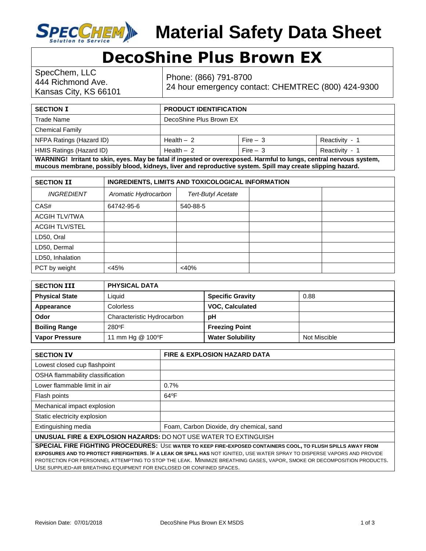

## **DecoShine Plus Brown EX**

SpecChem, LLC 444 Richmond Ave. Kansas City, KS 66101

Phone: (866) 791-8700 24 hour emergency contact: CHEMTREC (800) 424-9300

| <b>SECTION I</b>                                                                                                    | <b>PRODUCT IDENTIFICATION</b> |           |                |
|---------------------------------------------------------------------------------------------------------------------|-------------------------------|-----------|----------------|
| Trade Name                                                                                                          | DecoShine Plus Brown EX       |           |                |
| <b>Chemical Family</b>                                                                                              |                               |           |                |
| NFPA Ratings (Hazard ID)                                                                                            | Health $-2$                   | Fire $-3$ | Reactivity - 1 |
| HMIS Ratings (Hazard ID)                                                                                            | Health $-2$                   | Fire $-3$ | Reactivity - 1 |
| WARNING! Irritant to skin, eyes. May be fatal if ingested or overexposed. Harmful to lungs, central nervous system, |                               |           |                |

**mucous membrane, possibly blood, kidneys, liver and reproductive system. Spill may create slipping hazard.**

| <b>SECTION II</b>     | INGREDIENTS, LIMITS AND TOXICOLOGICAL INFORMATION |                           |  |  |
|-----------------------|---------------------------------------------------|---------------------------|--|--|
| <b>INGREDIENT</b>     | Aromatic Hydrocarbon                              | <b>Tert-Butyl Acetate</b> |  |  |
| CAS#                  | 64742-95-6                                        | 540-88-5                  |  |  |
| <b>ACGIH TLV/TWA</b>  |                                                   |                           |  |  |
| <b>ACGIH TLV/STEL</b> |                                                   |                           |  |  |
| LD50, Oral            |                                                   |                           |  |  |
| LD50, Dermal          |                                                   |                           |  |  |
| LD50, Inhalation      |                                                   |                           |  |  |
| PCT by weight         | <45%                                              | <40%                      |  |  |

| <b>SECTION III</b>    | <b>PHYSICAL DATA</b>       |                         |              |
|-----------------------|----------------------------|-------------------------|--------------|
| <b>Physical State</b> | Liauid                     | <b>Specific Gravity</b> | 0.88         |
| Appearance            | Colorless                  | <b>VOC, Calculated</b>  |              |
| Odor                  | Characteristic Hydrocarbon | рH                      |              |
| <b>Boiling Range</b>  | 280°F                      | <b>Freezing Point</b>   |              |
| <b>Vapor Pressure</b> | 11 mm Hg @ 100°F           | <b>Water Solubility</b> | Not Miscible |

| <b>SECTION IV</b>                                                | <b>FIRE &amp; EXPLOSION HAZARD DATA</b>  |  |
|------------------------------------------------------------------|------------------------------------------|--|
| Lowest closed cup flashpoint                                     |                                          |  |
| OSHA flammability classification                                 |                                          |  |
| Lower flammable limit in air                                     | 0.7%                                     |  |
| Flash points                                                     | $64^{\circ}F$                            |  |
| Mechanical impact explosion                                      |                                          |  |
| Static electricity explosion                                     |                                          |  |
| Extinguishing media                                              | Foam, Carbon Dioxide, dry chemical, sand |  |
| UNUSUAL FIRE & EXPLOSION HAZARDS: DO NOT USE WATER TO EXTINGUISH |                                          |  |

**SPECIAL FIRE FIGHTING PROCEDURES:** USE **WATER TO KEEP FIRE-EXPOSED CONTAINERS COOL, TO FLUSH SPILLS AWAY FROM EXPOSURES AND TO PROTECT FIREFIGHTERS**. I**F A LEAK OR SPILL HAS** NOT IGNITED, USE WATER SPRAY TO DISPERSE VAPORS AND PROVIDE PROTECTION FOR PERSONNEL ATTEMPTING TO STOP THE LEAK. MINIMIZE BREATHING GASES, VAPOR, SMOKE OR DECOMPOSITION PRODUCTS. USE SUPPLIED-AIR BREATHING EQUIPMENT FOR ENCLOSED OR CONFINED SPACES.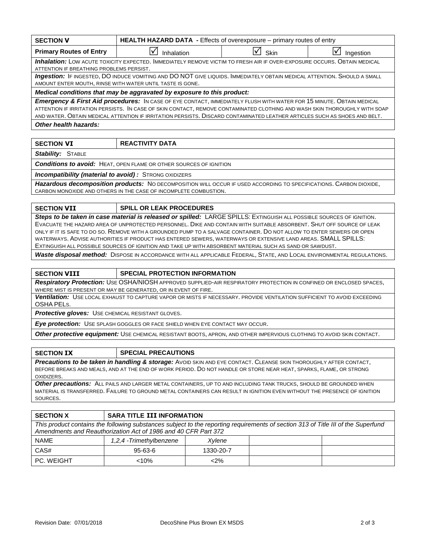| <b>SECTION V</b>                                                                                                                                                                                                                                                                                                                                                                | HEALTH HAZARD DATA - Effects of overexposure - primary routes of entry |      |           |
|---------------------------------------------------------------------------------------------------------------------------------------------------------------------------------------------------------------------------------------------------------------------------------------------------------------------------------------------------------------------------------|------------------------------------------------------------------------|------|-----------|
| <b>Primary Routes of Entry</b>                                                                                                                                                                                                                                                                                                                                                  | Inhalation                                                             | Skin | Ingestion |
| <b>Inhalation:</b> LOW ACUTE TOXICITY EXPECTED. IMMEDIATELY REMOVE VICTIM TO FRESH AIR IF OVER-EXPOSURE OCCURS. OBTAIN MEDICAL<br>ATTENTION IF BREATHING PROBLEMS PERSIST.                                                                                                                                                                                                      |                                                                        |      |           |
| Ingestion: IF INGESTED, DO INDUCE VOMITING AND DO NOT GIVE LIQUIDS. IMMEDIATELY OBTAIN MEDICAL ATTENTION. SHOULD A SMALL<br>AMOUNT ENTER MOUTH, RINSE WITH WATER UNTIL TASTE IS GONE.                                                                                                                                                                                           |                                                                        |      |           |
| Medical conditions that may be aggravated by exposure to this product:                                                                                                                                                                                                                                                                                                          |                                                                        |      |           |
| Emergency & First Aid procedures: IN CASE OF EYE CONTACT, IMMEDIATELY FLUSH WITH WATER FOR 15 MINUTE. OBTAIN MEDICAL<br>ATTENTION IF IRRITATION PERSISTS. IN CASE OF SKIN CONTACT, REMOVE CONTAMINATED CLOTHING AND WASH SKIN THOROUGHLY WITH SOAP<br>AND WATER, OBTAIN MEDICAL ATTENTION IF IRRITATION PERSISTS, DISCARD CONTAMINATED LEATHER ARTICLES SUCH AS SHOES AND BELT. |                                                                        |      |           |
| Other health hazards:                                                                                                                                                                                                                                                                                                                                                           |                                                                        |      |           |
|                                                                                                                                                                                                                                                                                                                                                                                 |                                                                        |      |           |
| <b>SECTION VI</b>                                                                                                                                                                                                                                                                                                                                                               | <b>REACTIVITY DATA</b>                                                 |      |           |

**Stability: STABLE** 

*Conditions to avoid:* HEAT, OPEN FLAME OR OTHER SOURCES OF IGNITION

**Incompatibility (material to avoid) :** STRONG OXIDIZERS

*Hazardous decomposition products:* NO DECOMPOSITION WILL OCCUR IF USED ACCORDING TO SPECIFICATIONS. CARBON DIOXIDE, CARBON MONOXIDE AND OTHERS IN THE CASE OF INCOMPLETE COMBUSTION.

## **SECTION VII SPILL OR LEAK PROCEDURES**

*Steps to be taken in case material is released or spilled: LARGE SPILLS: EXTINGUISH ALL POSSIBLE SOURCES OF IGNITION.* EVACUATE THE HAZARD AREA OF UNPROTECTED PERSONNEL. DIKE AND CONTAIN WITH SUITABLE ABSORBENT. SHUT OFF SOURCE OF LEAK ONLY IF IT IS SAFE TO DO SO. REMOVE WITH A GROUNDED PUMP TO A SALVAGE CONTAINER. DO NOT ALLOW TO ENTER SEWERS OR OPEN WATERWAYS. ADVISE AUTHORITIES IF PRODUCT HAS ENTERED SEWERS, WATERWAYS OR EXTENSIVE LAND AREAS. SMALL SPILLS: EXTINGUISH ALL POSSIBLE SOURCES OF IGNITION AND TAKE UP WITH ABSORBENT MATERIAL SUCH AS SAND OR SAWDUST.

*Waste disposal method:* DISPOSE IN ACCORDANCE WITH ALL APPLICABLE FEDERAL, STATE, AND LOCAL ENVIRONMENTAL REGULATIONS.

## **SECTION VIII SPECIAL PROTECTION INFORMATION**

*Respiratory Protection:* USE OSHA/NIOSH APPROVED SUPPLIED-AIR RESPIRATORY PROTECTION IN CONFINED OR ENCLOSED SPACES, WHERE MIST IS PRESENT OR MAY BE GENERATED, OR IN EVENT OF FIRE.

*Ventilation:* USE LOCAL EXHAUST TO CAPTURE VAPOR OR MISTS IF NECESSARY. PROVIDE VENTILATION SUFFICIENT TO AVOID EXCEEDING OSHA PELS.

*Protective gloves:* USE CHEMICAL RESISTANT GLOVES.

*Eye protection:* USE SPLASH GOGGLES OR FACE SHIELD WHEN EYE CONTACT MAY OCCUR.

*Other protective equipment:* USE CHEMICAL RESISTANT BOOTS, APRON, AND OTHER IMPERVIOUS CLOTHING TO AVOID SKIN CONTACT.

*Precautions to be taken in handling & storage:* AVOID SKIN AND EYE CONTACT. CLEANSE SKIN THOROUGHLY AFTER CONTACT, BEFORE BREAKS AND MEALS, AND AT THE END OF WORK PERIOD. DO NOT HANDLE OR STORE NEAR HEAT, SPARKS, FLAME, OR STRONG OXIDIZERS.

*Other precautions:* ALL PAILS AND LARGER METAL CONTAINERS, UP TO AND INCLUDING TANK TRUCKS, SHOULD BE GROUNDED WHEN MATERIAL IS TRANSFERRED. FAILURE TO GROUND METAL CONTAINERS CAN RESULT IN IGNITION EVEN WITHOUT THE PRESENCE OF IGNITION SOURCES.

| <b>SECTION X</b>                                                                                                                                                                                    | <b>SARA TITLE III INFORMATION</b> |           |  |  |
|-----------------------------------------------------------------------------------------------------------------------------------------------------------------------------------------------------|-----------------------------------|-----------|--|--|
| This product contains the following substances subject to the reporting requirements of section 313 of Title III of the Superfund<br>Amendments and Reauthorization Act of 1986 and 40 CFR Part 372 |                                   |           |  |  |
| <b>NAME</b>                                                                                                                                                                                         | 1,2,4 -Trimethylbenzene           | Xvlene    |  |  |
| CAS#                                                                                                                                                                                                | $95 - 63 - 6$                     | 1330-20-7 |  |  |
| PC. WEIGHT                                                                                                                                                                                          | $< 10\%$                          | $2\%$     |  |  |